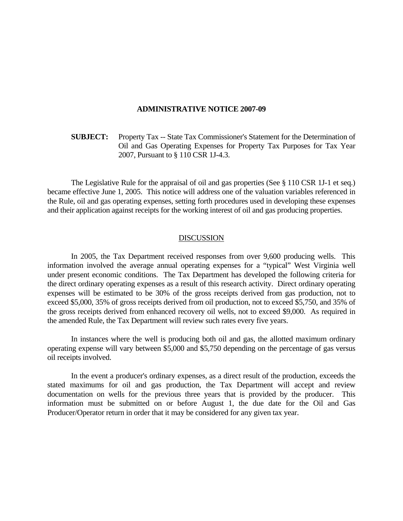## **ADMINISTRATIVE NOTICE 2007-09**

 **SUBJECT:** Property Tax -- State Tax Commissioner's Statement for the Determination of Oil and Gas Operating Expenses for Property Tax Purposes for Tax Year 2007, Pursuant to § 110 CSR 1J-4.3.

 The Legislative Rule for the appraisal of oil and gas properties (See § 110 CSR 1J-1 et seq.) became effective June 1, 2005. This notice will address one of the valuation variables referenced in the Rule, oil and gas operating expenses, setting forth procedures used in developing these expenses and their application against receipts for the working interest of oil and gas producing properties.

## **DISCUSSION**

 In 2005, the Tax Department received responses from over 9,600 producing wells. This information involved the average annual operating expenses for a "typical" West Virginia well under present economic conditions. The Tax Department has developed the following criteria for the direct ordinary operating expenses as a result of this research activity. Direct ordinary operating expenses will be estimated to be 30% of the gross receipts derived from gas production, not to exceed \$5,000, 35% of gross receipts derived from oil production, not to exceed \$5,750, and 35% of the gross receipts derived from enhanced recovery oil wells, not to exceed \$9,000. As required in the amended Rule, the Tax Department will review such rates every five years.

 In instances where the well is producing both oil and gas, the allotted maximum ordinary operating expense will vary between \$5,000 and \$5,750 depending on the percentage of gas versus oil receipts involved.

 In the event a producer's ordinary expenses, as a direct result of the production, exceeds the stated maximums for oil and gas production, the Tax Department will accept and review documentation on wells for the previous three years that is provided by the producer. This information must be submitted on or before August 1, the due date for the Oil and Gas Producer/Operator return in order that it may be considered for any given tax year.